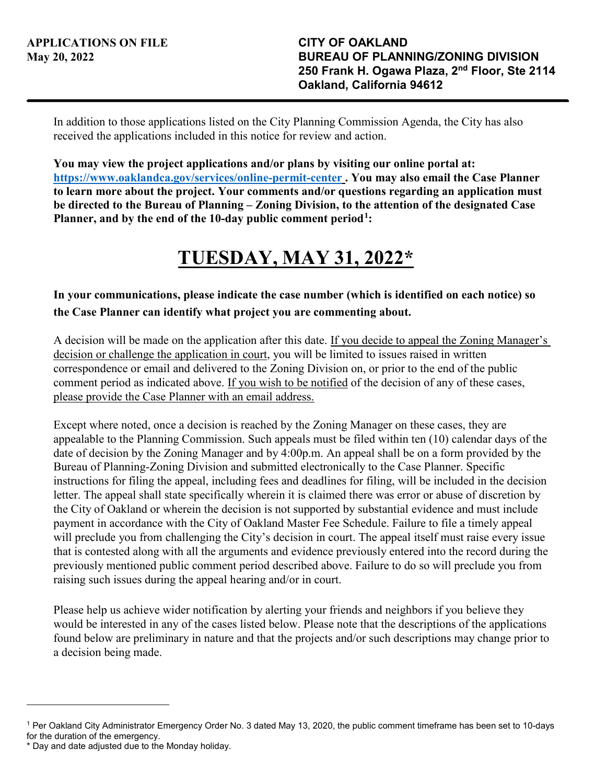In addition to those applications listed on the City Planning Commission Agenda, the City has also received the applications included in this notice for review and action.

**You may view the project applications and/or plans by visiting our online portal at: <https://www.oaklandca.gov/services/online-permit-center>. You may also email the Case Planner to learn more about the project. Your comments and/or questions regarding an application must be directed to the Bureau of Planning – Zoning Division, to the attention of the designated Case Planner, and by the end of the 10-day public comment period[1](#page-0-0):** 

## **TUESDAY, MAY 31, 2022\***

## **In your communications, please indicate the case number (which is identified on each notice) so the Case Planner can identify what project you are commenting about.**

A decision will be made on the application after this date. If you decide to appeal the Zoning Manager's decision or challenge the application in court, you will be limited to issues raised in written correspondence or email and delivered to the Zoning Division on, or prior to the end of the public comment period as indicated above. If you wish to be notified of the decision of any of these cases, please provide the Case Planner with an email address.

Except where noted, once a decision is reached by the Zoning Manager on these cases, they are appealable to the Planning Commission. Such appeals must be filed within ten (10) calendar days of the date of decision by the Zoning Manager and by 4:00p.m. An appeal shall be on a form provided by the Bureau of Planning-Zoning Division and submitted electronically to the Case Planner. Specific instructions for filing the appeal, including fees and deadlines for filing, will be included in the decision letter. The appeal shall state specifically wherein it is claimed there was error or abuse of discretion by the City of Oakland or wherein the decision is not supported by substantial evidence and must include payment in accordance with the City of Oakland Master Fee Schedule. Failure to file a timely appeal will preclude you from challenging the City's decision in court. The appeal itself must raise every issue that is contested along with all the arguments and evidence previously entered into the record during the previously mentioned public comment period described above. Failure to do so will preclude you from raising such issues during the appeal hearing and/or in court.

Please help us achieve wider notification by alerting your friends and neighbors if you believe they would be interested in any of the cases listed below. Please note that the descriptions of the applications found below are preliminary in nature and that the projects and/or such descriptions may change prior to a decision being made.

l

<span id="page-0-0"></span><sup>1</sup> Per Oakland City Administrator Emergency Order No. 3 dated May 13, 2020, the public comment timeframe has been set to 10-days for the duration of the emergency.

<sup>\*</sup> Day and date adjusted due to the Monday holiday.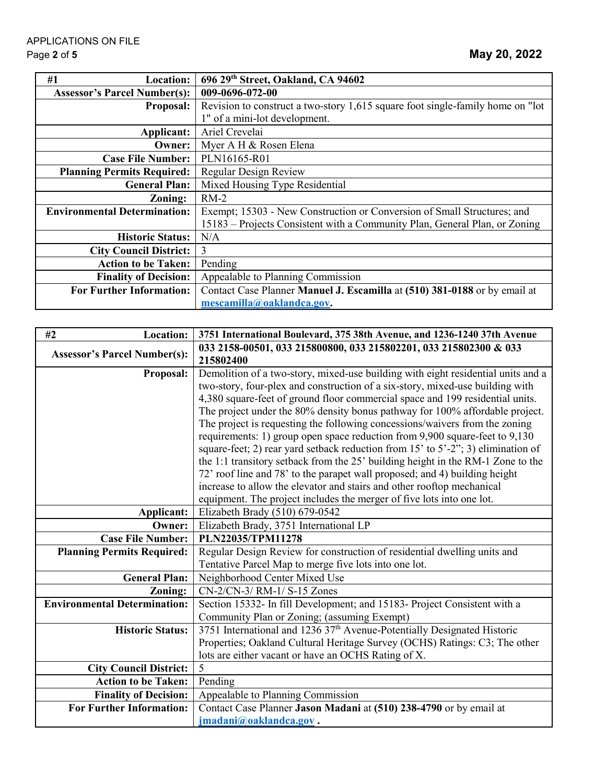| #1<br>Location:                     | 696 29th Street, Oakland, CA 94602                                             |
|-------------------------------------|--------------------------------------------------------------------------------|
| <b>Assessor's Parcel Number(s):</b> | 009-0696-072-00                                                                |
| <b>Proposal:</b>                    | Revision to construct a two-story 1,615 square foot single-family home on "lot |
|                                     | 1" of a mini-lot development.                                                  |
| Applicant:                          | Ariel Crevelai                                                                 |
| Owner:                              | Myer A H & Rosen Elena                                                         |
| <b>Case File Number:</b>            | PLN16165-R01                                                                   |
| <b>Planning Permits Required:</b>   | Regular Design Review                                                          |
| <b>General Plan:</b>                | Mixed Housing Type Residential                                                 |
| Zoning:                             | $RM-2$                                                                         |
| <b>Environmental Determination:</b> | Exempt; 15303 - New Construction or Conversion of Small Structures; and        |
|                                     | 15183 – Projects Consistent with a Community Plan, General Plan, or Zoning     |
| <b>Historic Status:</b>             | N/A                                                                            |
| <b>City Council District:</b>       | 3                                                                              |
| <b>Action to be Taken:</b>          | Pending                                                                        |
| <b>Finality of Decision:</b>        | Appealable to Planning Commission                                              |
| <b>For Further Information:</b>     | Contact Case Planner Manuel J. Escamilla at (510) 381-0188 or by email at      |
|                                     | mescamilla@oaklandca.gov.                                                      |

| <b>Location:</b><br>#2              | 3751 International Boulevard, 375 38th Avenue, and 1236-1240 37th Avenue                                                                                            |
|-------------------------------------|---------------------------------------------------------------------------------------------------------------------------------------------------------------------|
| <b>Assessor's Parcel Number(s):</b> | 033 2158-00501, 033 215800800, 033 215802201, 033 215802300 & 033<br>215802400                                                                                      |
| <b>Proposal:</b>                    | Demolition of a two-story, mixed-use building with eight residential units and a                                                                                    |
|                                     | two-story, four-plex and construction of a six-story, mixed-use building with                                                                                       |
|                                     | 4,380 square-feet of ground floor commercial space and 199 residential units.                                                                                       |
|                                     | The project under the 80% density bonus pathway for 100% affordable project.                                                                                        |
|                                     | The project is requesting the following concessions/waivers from the zoning                                                                                         |
|                                     | requirements: 1) group open space reduction from 9,900 square-feet to 9,130                                                                                         |
|                                     | square-feet; 2) rear yard setback reduction from 15' to 5'-2"; 3) elimination of<br>the 1:1 transitory setback from the 25' building height in the RM-1 Zone to the |
|                                     | 72' roof line and 78' to the parapet wall proposed; and 4) building height                                                                                          |
|                                     | increase to allow the elevator and stairs and other rooftop mechanical                                                                                              |
|                                     | equipment. The project includes the merger of five lots into one lot.                                                                                               |
| <b>Applicant:</b>                   | Elizabeth Brady (510) 679-0542                                                                                                                                      |
| Owner:                              | Elizabeth Brady, 3751 International LP                                                                                                                              |
| <b>Case File Number:</b>            | PLN22035/TPM11278                                                                                                                                                   |
| <b>Planning Permits Required:</b>   | Regular Design Review for construction of residential dwelling units and                                                                                            |
|                                     | Tentative Parcel Map to merge five lots into one lot.                                                                                                               |
| <b>General Plan:</b>                | Neighborhood Center Mixed Use                                                                                                                                       |
| Zoning:                             | CN-2/CN-3/ RM-1/ S-15 Zones                                                                                                                                         |
| <b>Environmental Determination:</b> | Section 15332- In fill Development; and 15183- Project Consistent with a                                                                                            |
|                                     | Community Plan or Zoning; (assuming Exempt)                                                                                                                         |
| <b>Historic Status:</b>             | 3751 International and 1236 37 <sup>th</sup> Avenue-Potentially Designated Historic                                                                                 |
|                                     | Properties; Oakland Cultural Heritage Survey (OCHS) Ratings: C3; The other                                                                                          |
|                                     | lots are either vacant or have an OCHS Rating of X.                                                                                                                 |
| <b>City Council District:</b>       | 5                                                                                                                                                                   |
| <b>Action to be Taken:</b>          | Pending                                                                                                                                                             |
| <b>Finality of Decision:</b>        | Appealable to Planning Commission                                                                                                                                   |
| <b>For Further Information:</b>     | Contact Case Planner Jason Madani at (510) 238-4790 or by email at                                                                                                  |
|                                     | jmadani@oaklandca.gov.                                                                                                                                              |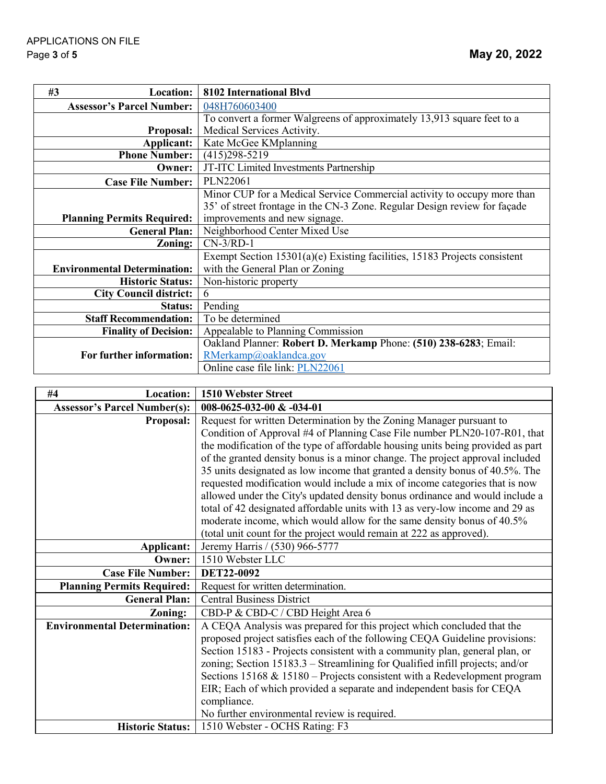| #3<br>Location:                     | 8102 International Blvd                                                   |
|-------------------------------------|---------------------------------------------------------------------------|
| <b>Assessor's Parcel Number:</b>    | 048H760603400                                                             |
|                                     | To convert a former Walgreens of approximately 13,913 square feet to a    |
| Proposal:                           | Medical Services Activity.                                                |
| Applicant:                          | Kate McGee KMplanning                                                     |
| <b>Phone Number:</b> (415)298-5219  |                                                                           |
| Owner:                              | JT-ITC Limited Investments Partnership                                    |
| <b>Case File Number:</b>            | PLN22061                                                                  |
|                                     | Minor CUP for a Medical Service Commercial activity to occupy more than   |
|                                     | 35' of street frontage in the CN-3 Zone. Regular Design review for façade |
| <b>Planning Permits Required:</b>   | improvements and new signage.                                             |
| <b>General Plan:</b>                | Neighborhood Center Mixed Use                                             |
| Zoning:                             | $CN-3/RD-1$                                                               |
|                                     | Exempt Section 15301(a)(e) Existing facilities, 15183 Projects consistent |
| <b>Environmental Determination:</b> | with the General Plan or Zoning                                           |
| <b>Historic Status:</b>             | Non-historic property                                                     |
| <b>City Council district:</b>       | 6                                                                         |
| <b>Status:</b>                      | Pending                                                                   |
| <b>Staff Recommendation:</b>        | To be determined                                                          |
| <b>Finality of Decision:</b>        | Appealable to Planning Commission                                         |
|                                     | Oakland Planner: Robert D. Merkamp Phone: (510) 238-6283; Email:          |
| For further information:            | RMerkamp@oaklandca.gov                                                    |
|                                     | Online case file link: PLN22061                                           |

| Location:<br>#4                     | 1510 Webster Street                                                             |
|-------------------------------------|---------------------------------------------------------------------------------|
| <b>Assessor's Parcel Number(s):</b> | 008-0625-032-00 & -034-01                                                       |
| <b>Proposal:</b>                    | Request for written Determination by the Zoning Manager pursuant to             |
|                                     | Condition of Approval #4 of Planning Case File number PLN20-107-R01, that       |
|                                     | the modification of the type of affordable housing units being provided as part |
|                                     | of the granted density bonus is a minor change. The project approval included   |
|                                     | 35 units designated as low income that granted a density bonus of 40.5%. The    |
|                                     | requested modification would include a mix of income categories that is now     |
|                                     | allowed under the City's updated density bonus ordinance and would include a    |
|                                     | total of 42 designated affordable units with 13 as very-low income and 29 as    |
|                                     | moderate income, which would allow for the same density bonus of 40.5%          |
|                                     | (total unit count for the project would remain at 222 as approved).             |
| Applicant:                          | Jeremy Harris / (530) 966-5777                                                  |
| Owner:                              | 1510 Webster LLC                                                                |
| <b>Case File Number:</b>            | DET22-0092                                                                      |
| <b>Planning Permits Required:</b>   | Request for written determination.                                              |
| <b>General Plan:</b>                | <b>Central Business District</b>                                                |
| Zoning:                             | CBD-P & CBD-C / CBD Height Area 6                                               |
| <b>Environmental Determination:</b> | A CEQA Analysis was prepared for this project which concluded that the          |
|                                     | proposed project satisfies each of the following CEQA Guideline provisions:     |
|                                     | Section 15183 - Projects consistent with a community plan, general plan, or     |
|                                     | zoning; Section 15183.3 – Streamlining for Qualified infill projects; and/or    |
|                                     | Sections $15168 \& 15180$ – Projects consistent with a Redevelopment program    |
|                                     | EIR; Each of which provided a separate and independent basis for CEQA           |
|                                     | compliance.                                                                     |
|                                     | No further environmental review is required.                                    |
| <b>Historic Status:</b>             | 1510 Webster - OCHS Rating: F3                                                  |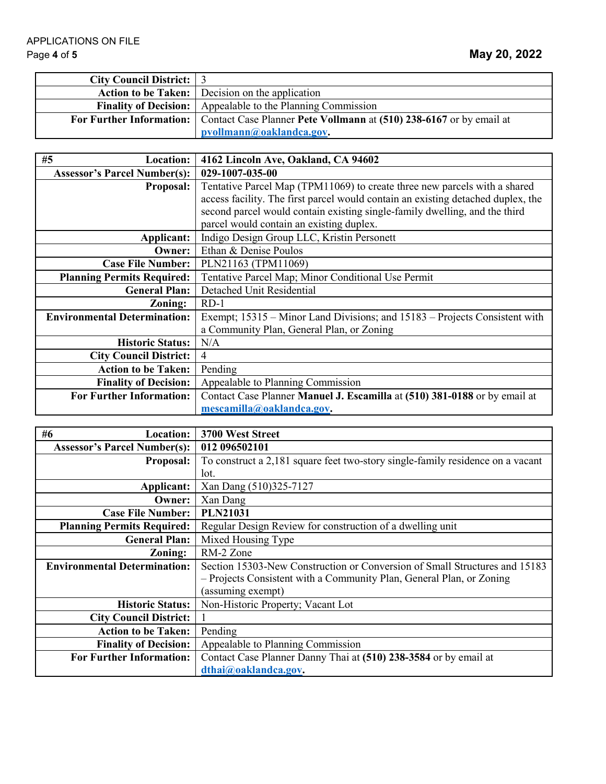| <b>City Council District:</b> 3 |                                                                                              |
|---------------------------------|----------------------------------------------------------------------------------------------|
|                                 | Action to be Taken: Decision on the application                                              |
|                                 | <b>Finality of Decision:</b> Appealable to the Planning Commission                           |
|                                 | For Further Information: Contact Case Planner Pete Vollmann at (510) 238-6167 or by email at |
|                                 | pvollmann@oaklandca.gov.                                                                     |

| #5<br><b>Location:</b>              | 4162 Lincoln Ave, Oakland, CA 94602                                              |
|-------------------------------------|----------------------------------------------------------------------------------|
| <b>Assessor's Parcel Number(s):</b> | 029-1007-035-00                                                                  |
| <b>Proposal:</b>                    | Tentative Parcel Map (TPM11069) to create three new parcels with a shared        |
|                                     | access facility. The first parcel would contain an existing detached duplex, the |
|                                     | second parcel would contain existing single-family dwelling, and the third       |
|                                     | parcel would contain an existing duplex.                                         |
| Applicant:                          | Indigo Design Group LLC, Kristin Personett                                       |
| Owner:                              | Ethan & Denise Poulos                                                            |
| <b>Case File Number:</b>            | PLN21163 (TPM11069)                                                              |
| <b>Planning Permits Required:</b>   | Tentative Parcel Map; Minor Conditional Use Permit                               |
| <b>General Plan:</b>                | Detached Unit Residential                                                        |
| Zoning:                             | $RD-1$                                                                           |
| <b>Environmental Determination:</b> | Exempt; 15315 – Minor Land Divisions; and 15183 – Projects Consistent with       |
|                                     | a Community Plan, General Plan, or Zoning                                        |
| <b>Historic Status:</b>             | N/A                                                                              |
| <b>City Council District:</b>       | $\overline{4}$                                                                   |
| <b>Action to be Taken:</b>          | Pending                                                                          |
| <b>Finality of Decision:</b>        | Appealable to Planning Commission                                                |
| <b>For Further Information:</b>     | Contact Case Planner Manuel J. Escamilla at (510) 381-0188 or by email at        |
|                                     | mescamilla@oaklandca.gov.                                                        |

| #6<br><b>Location:</b>              | 3700 West Street                                                               |
|-------------------------------------|--------------------------------------------------------------------------------|
| <b>Assessor's Parcel Number(s):</b> | 012 096502101                                                                  |
| <b>Proposal:</b>                    | To construct a 2,181 square feet two-story single-family residence on a vacant |
|                                     | lot.                                                                           |
| Applicant:                          | Xan Dang (510)325-7127                                                         |
| Owner:                              | Xan Dang                                                                       |
| <b>Case File Number:</b>            | <b>PLN21031</b>                                                                |
| <b>Planning Permits Required:</b>   | Regular Design Review for construction of a dwelling unit                      |
| <b>General Plan:</b>                | Mixed Housing Type                                                             |
| Zoning:                             | RM-2 Zone                                                                      |
| <b>Environmental Determination:</b> | Section 15303-New Construction or Conversion of Small Structures and 15183     |
|                                     | - Projects Consistent with a Community Plan, General Plan, or Zoning           |
|                                     | (assuming exempt)                                                              |
| <b>Historic Status:</b>             | Non-Historic Property; Vacant Lot                                              |
| <b>City Council District:</b>       |                                                                                |
| <b>Action to be Taken:</b>          | Pending                                                                        |
| <b>Finality of Decision:</b>        | Appealable to Planning Commission                                              |
| <b>For Further Information:</b>     | Contact Case Planner Danny Thai at (510) 238-3584 or by email at               |
|                                     | dthai@oaklandca.gov.                                                           |